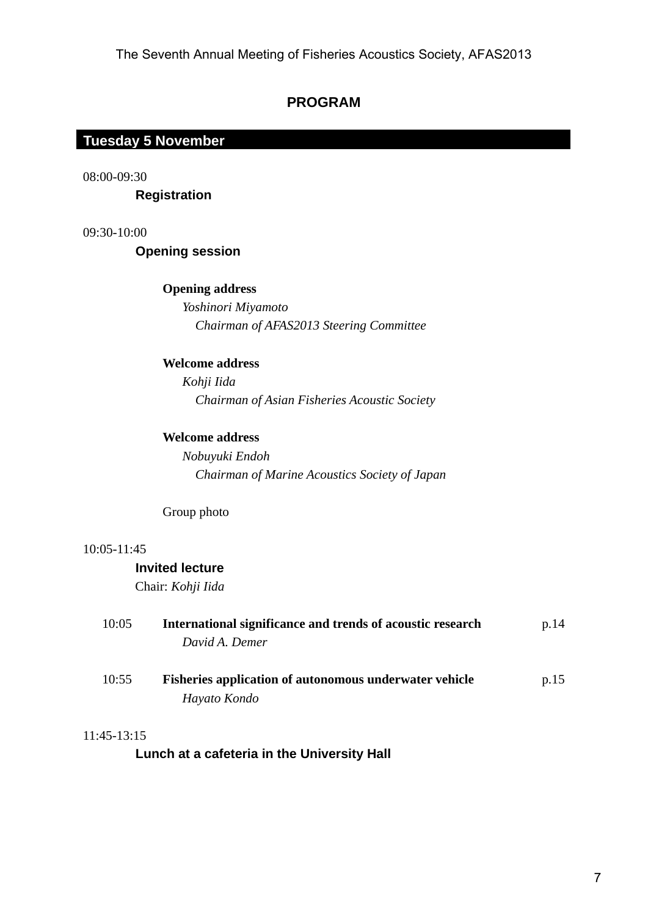# **PROGRAM**

# **Tuesday 5 November Tuesday 5 November**

08:00-09:30

 **Registration** 

09:30-10:00

 **Opening session** 

## **Opening address**

 *Yoshinori Miyamoto Chairman of AFAS2013 Steering Committee*

# **Welcome address**

 *Kohji Iida Chairman of Asian Fisheries Acoustic Society* 

## **Welcome address**

 *Nobuyuki Endoh Chairman of Marine Acoustics Society of Japan* 

Group photo

## 10:05-11:45

# **Invited lecture**

Chair: *Kohji Iida*

| 10:05 | International significance and trends of acoustic research    | p.14 |
|-------|---------------------------------------------------------------|------|
|       | David A. Demer                                                |      |
| 10:55 | <b>Fisheries application of autonomous underwater vehicle</b> | p.15 |
|       | Hayato Kondo                                                  |      |

## 11:45-13:15

 **Lunch at a cafeteria in the University Hall**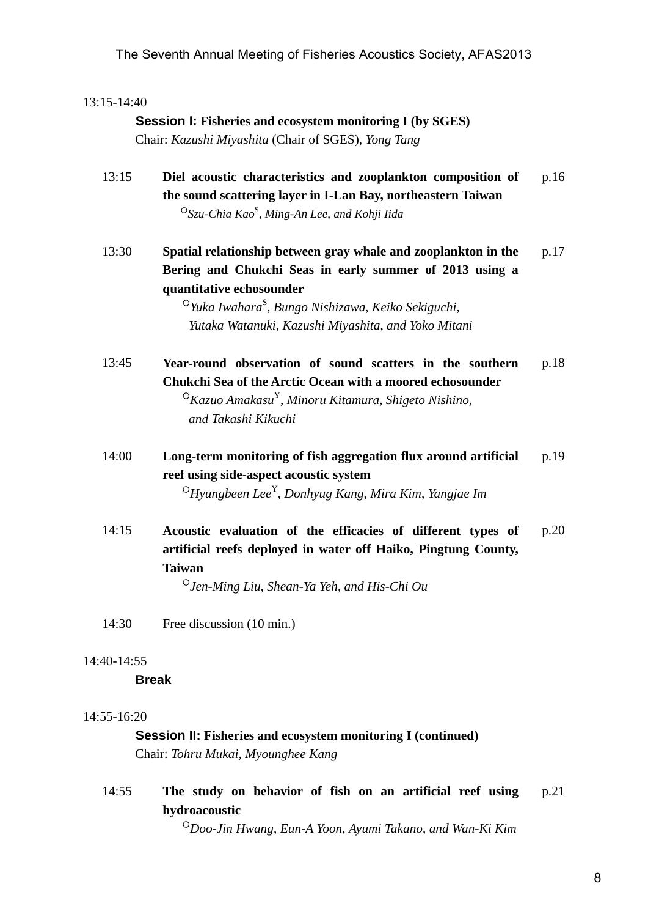### 13:15-14:40

# **Session I: Fisheries and ecosystem monitoring I (by SGES)** Chair: *Kazushi Miyashita* (Chair of SGES), *Yong Tang*

13:15 **Diel acoustic characteristics and zooplankton composition of the sound scattering layer in I-Lan Bay, northeastern Taiwan**  ○*Szu-Chia Kao*<sup>S</sup> , *Ming-An Lee*, *and Kohji Iida*  p.16

13:30 **Spatial relationship between gray whale and zooplankton in the Bering and Chukchi Seas in early summer of 2013 using a quantitative echosounder**  p.17

> ○*Yuka Iwahara*<sup>S</sup> , *Bungo Nishizawa*, *Keiko Sekiguchi*, *Yutaka Watanuki*, *Kazushi Miyashita*, *and Yoko Mitani*

- 13:45 **Year-round observation of sound scatters in the southern Chukchi Sea of the Arctic Ocean with a moored echosounder**  ○*Kazuo Amakasu*Y, *Minoru Kitamura*, *Shigeto Nishino*, *and Takashi Kikuchi*  p.18
- 14:00 **Long-term monitoring of fish aggregation flux around artificial reef using side-aspect acoustic system**  ○*Hyungbeen Lee*Y, *Donhyug Kang*, *Mira Kim*, *Yangjae Im* p.19
- 14:15 **Acoustic evaluation of the efficacies of different types of artificial reefs deployed in water off Haiko, Pingtung County, Taiwan**  p.20

○*Jen-Ming Liu*, *Shean-Ya Yeh*, *and His-Chi Ou*

14:30 Free discussion (10 min.)

#### 14:40-14:55

#### **Break**

#### 14:55-16:20

# **Session II: Fisheries and ecosystem monitoring I (continued)** Chair: *Tohru Mukai*, *Myounghee Kang*

14:55 **The study on behavior of fish on an artificial reef using hydroacoustic**  p.21

○*Doo-Jin Hwang*, *Eun-A Yoon*, *Ayumi Takano*, *and Wan-Ki Kim*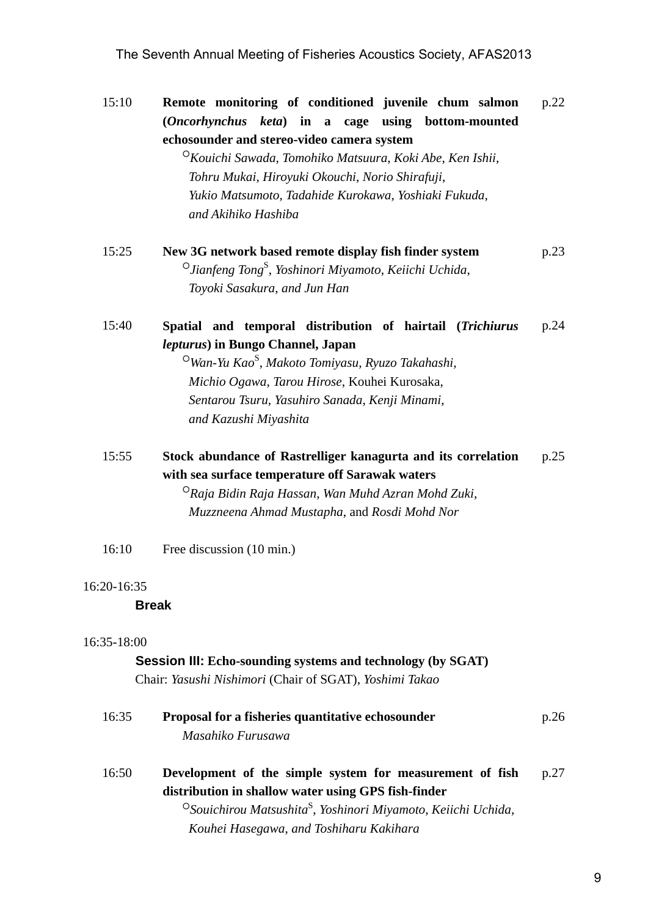## The Seventh Annual Meeting of Fisheries Acoustics Society, AFAS2013

15:10 **Remote monitoring of conditioned juvenile chum salmon (***Oncorhynchus keta***) in a cage using bottom-mounted echosounder and stereo-video camera system**  ○*Kouichi Sawada*, *Tomohiko Matsuura*, *Koki Abe*, *Ken Ishii*, *Tohru Mukai*, *Hiroyuki Okouchi*, *Norio Shirafuji*, *Yukio Matsumoto*, *Tadahide Kurokawa*, *Yoshiaki Fukuda*, p.22

*and Akihiko Hashiba* 

- 15:25 **New 3G network based remote display fish finder system**  ○*Jianfeng Tong*<sup>S</sup> , *Yoshinori Miyamoto*, *Keiichi Uchida*, *Toyoki Sasakura*, *and Jun Han*  p.23
- 15:40 **Spatial and temporal distribution of hairtail (***Trichiurus lepturus***) in Bungo Channel, Japan**  p.24

 ○*Wan-Yu Kao*<sup>S</sup> , *Makoto Tomiyasu*, *Ryuzo Takahashi*, *Michio Ogawa*, *Tarou Hirose*, Kouhei Kurosaka, *Sentarou Tsuru*, *Yasuhiro Sanada*, *Kenji Minami*, *and Kazushi Miyashita* 

15:55 **Stock abundance of Rastrelliger kanagurta and its correlation with sea surface temperature off Sarawak waters**  p.25

 ○*Raja Bidin Raja Hassan*, *Wan Muhd Azran Mohd Zuki*, *Muzzneena Ahmad Mustapha*, and *Rosdi Mohd Nor*

16:10 Free discussion (10 min.)

#### 16:20-16:35

#### **Break**

#### 16:35-18:00

#### **Session III: Echo-sounding systems and technology (by SGAT)**

Chair: *Yasushi Nishimori* (Chair of SGAT), *Yoshimi Takao*

| 16:35 | Proposal for a fisheries quantitative echosounder<br>Masahiko Furusawa                                                                                                                                                                              | p.26 |
|-------|-----------------------------------------------------------------------------------------------------------------------------------------------------------------------------------------------------------------------------------------------------|------|
| 16:50 | Development of the simple system for measurement of fish<br>distribution in shallow water using GPS fish-finder<br><sup>O</sup> Souichirou Matsushita <sup>S</sup> , Yoshinori Miyamoto, Keiichi Uchida,<br>Kouhei Hasegawa, and Toshiharu Kakihara | p.27 |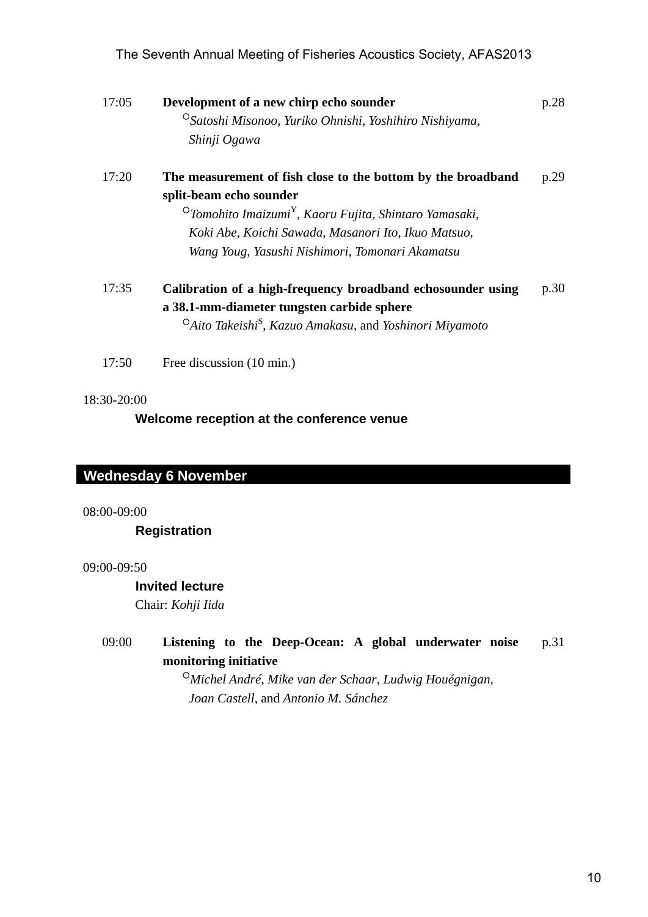|          | The Seventh Annual Meeting of Fisheries Acoustics Society, AFAS2013                                                                                                                                                                                                                 |      |
|----------|-------------------------------------------------------------------------------------------------------------------------------------------------------------------------------------------------------------------------------------------------------------------------------------|------|
| 17:05    | Development of a new chirp echo sounder<br><sup>O</sup> Satoshi Misonoo, Yuriko Ohnishi, Yoshihiro Nishiyama,<br>Shinji Ogawa                                                                                                                                                       | p.28 |
| 17:20    | The measurement of fish close to the bottom by the broadband<br>split-beam echo sounder<br><sup>O</sup> Tomohito Imaizumi <sup>Y</sup> , Kaoru Fujita, Shintaro Yamasaki,<br>Koki Abe, Koichi Sawada, Masanori Ito, Ikuo Matsuo,<br>Wang Youg, Yasushi Nishimori, Tomonari Akamatsu | p.29 |
| 17:35    | Calibration of a high-frequency broadband echosounder using<br>a 38.1-mm-diameter tungsten carbide sphere<br><sup>O</sup> Aito Takeishi <sup>S</sup> , Kazuo Amakasu, and Yoshinori Miyamoto                                                                                        | p.30 |
| 17:50    | Free discussion (10 min.)                                                                                                                                                                                                                                                           |      |
| 00-09:00 | ednesday 6 November<br><b>Registration</b>                                                                                                                                                                                                                                          |      |
| 00-09:50 | <b>Invited lecture</b><br>Chair: Kohji Iida                                                                                                                                                                                                                                         |      |
| 09:00    | Listening to the Deep-Ocean: A global underwater noise<br>monitoring initiative<br><sup>O</sup> Michel André, Mike van der Schaar, Ludwig Houégnigan,<br>Joan Castell, and Antonio M. Sánchez                                                                                       | p.31 |
|          |                                                                                                                                                                                                                                                                                     | 10   |
|          |                                                                                                                                                                                                                                                                                     |      |

#### 17:20 **The measurement of fish close to the bottom by the broadband split-beam echo sounder**  p.29

## 18:30-20:00

# **Wednesday 6 November Wednesday 6 November**

08:00-09:00

## **Registration**

## 09:00-09:50

## **Invited lecture**

#### 09:00 **Listening to the Deep-Ocean: A global underwater noise monitoring initiative**  p.31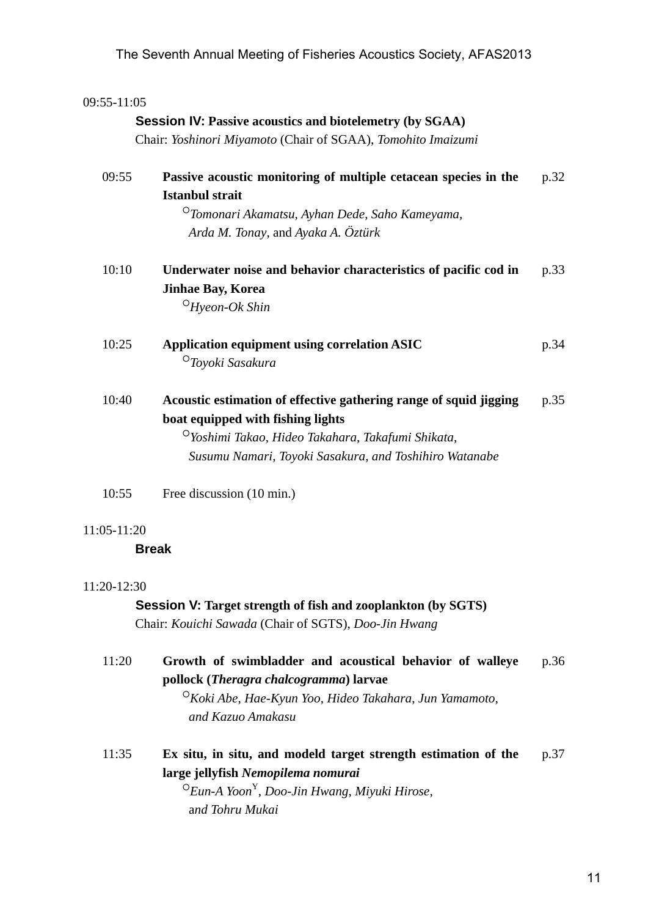| 09:55-11:05 |                                                                                                                                                                                                                                   |      |
|-------------|-----------------------------------------------------------------------------------------------------------------------------------------------------------------------------------------------------------------------------------|------|
|             | <b>Session IV: Passive acoustics and biotelemetry (by SGAA)</b>                                                                                                                                                                   |      |
|             | Chair: Yoshinori Miyamoto (Chair of SGAA), Tomohito Imaizumi                                                                                                                                                                      |      |
| 09:55       | Passive acoustic monitoring of multiple cetacean species in the<br><b>Istanbul strait</b><br><sup>O</sup> Tomonari Akamatsu, Ayhan Dede, Saho Kameyama,                                                                           | p.32 |
|             | Arda M. Tonay, and Ayaka A. Öztürk                                                                                                                                                                                                |      |
| 10:10       | Underwater noise and behavior characteristics of pacific cod in<br><b>Jinhae Bay, Korea</b>                                                                                                                                       | p.33 |
|             | $O$ Hyeon-Ok Shin                                                                                                                                                                                                                 |      |
| 10:25       | <b>Application equipment using correlation ASIC</b><br>$\circ$ Toyoki Sasakura                                                                                                                                                    | p.34 |
| 10:40       | Acoustic estimation of effective gathering range of squid jigging<br>boat equipped with fishing lights<br><sup>O</sup> Yoshimi Takao, Hideo Takahara, Takafumi Shikata,<br>Susumu Namari, Toyoki Sasakura, and Toshihiro Watanabe | p.35 |
| 10:55       | Free discussion (10 min.)                                                                                                                                                                                                         |      |
| 11:05-11:20 |                                                                                                                                                                                                                                   |      |
|             | <b>Break</b>                                                                                                                                                                                                                      |      |
| 11:20-12:30 |                                                                                                                                                                                                                                   |      |
|             | <b>Session V: Target strength of fish and zooplankton (by SGTS)</b><br>Chair: Kouichi Sawada (Chair of SGTS), Doo-Jin Hwang                                                                                                       |      |
| 11:20       | Growth of swimbladder and acoustical behavior of walleye<br>pollock (Theragra chalcogramma) larvae<br><sup>O</sup> Koki Abe, Hae-Kyun Yoo, Hideo Takahara, Jun Yamamoto,<br>and Kazuo Amakasu                                     | p.36 |
|             |                                                                                                                                                                                                                                   |      |
| 11:35       | Ex situ, in situ, and modeld target strength estimation of the<br>large jellyfish Nemopilema nomurai<br>$\mathrm{O}$ Eun-A Yoon <sup>Y</sup> , Doo-Jin Hwang, Miyuki Hirose,<br>and Tohru Mukai                                   | p.37 |
|             |                                                                                                                                                                                                                                   |      |
|             |                                                                                                                                                                                                                                   |      |

## 11:05-11:20

## 11:20-12:30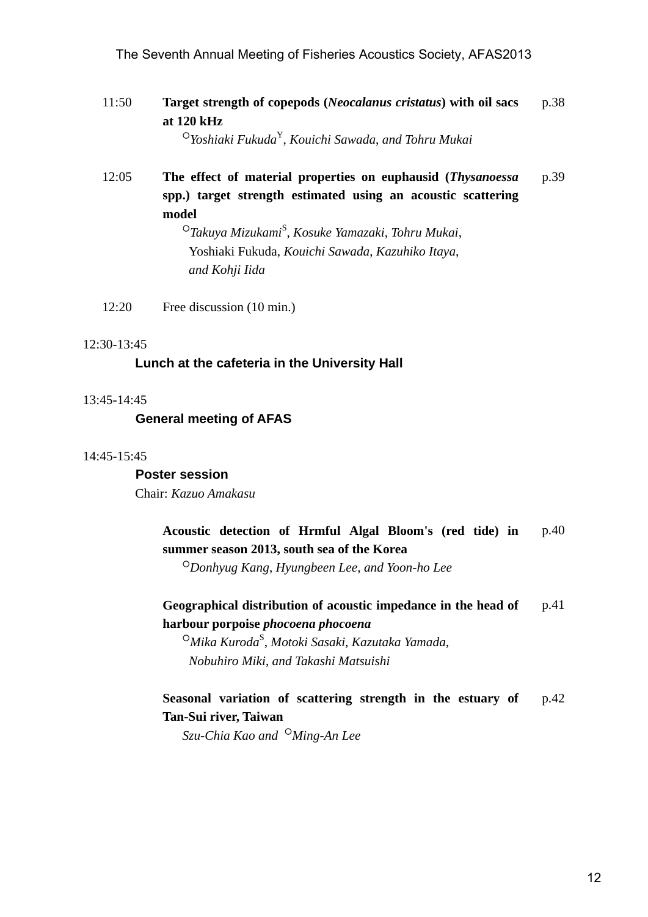11:50 **Target strength of copepods (***Neocalanus cristatus***) with oil sacs at 120 kHz**  p.38

○*Yoshiaki Fukuda*Y, *Kouichi Sawada*, *and Tohru Mukai* 

12:05 **The effect of material properties on euphausid (***Thysanoessa* **spp.) target strength estimated using an acoustic scattering model**  p.39 The Seventh Annual Meeting of Fisheries Acoustics Society, AFAS2013<br>
at Diktherical of copepols (Neocalization cristation) with all sucs<br>
at Diktherical of Version of Section Computers and Tokical Maydian<br>
(Society, Arabi

 ○*Takuya Mizukami*<sup>S</sup> , *Kosuke Yamazaki*, *Tohru Mukai*, Yoshiaki Fukuda, *Kouichi Sawada*, *Kazuhiko Itaya*, *and Kohji Iida*

12:20 Free discussion (10 min.)

#### 12:30-13:45

### **Lunch at the cafeteria in the University Hall**

#### 13:45-14:45

 **General meeting of AFAS** 

#### 14:45-15:45

 **Poster session**  Chair: *Kazuo Amakasu*

#### **Acoustic detection of Hrmful Algal Bloom's (red tide) in summer season 2013, south sea of the Korea**  p.40

○*Donhyug Kang*, *Hyungbeen Lee*, *and Yoon-ho Lee* 

**Geographical distribution of acoustic impedance in the head of harbour porpoise** *phocoena phocoena* p.41

 ○*Mika Kuroda*<sup>S</sup> , *Motoki Sasaki*, *Kazutaka Yamada*, *Nobuhiro Miki*, *and Takashi Matsuishi* 

#### **Seasonal variation of scattering strength in the estuary of Tan-Sui river, Taiwan**  p.42

*Szu-Chia Kao and* ○*Ming-An Lee*